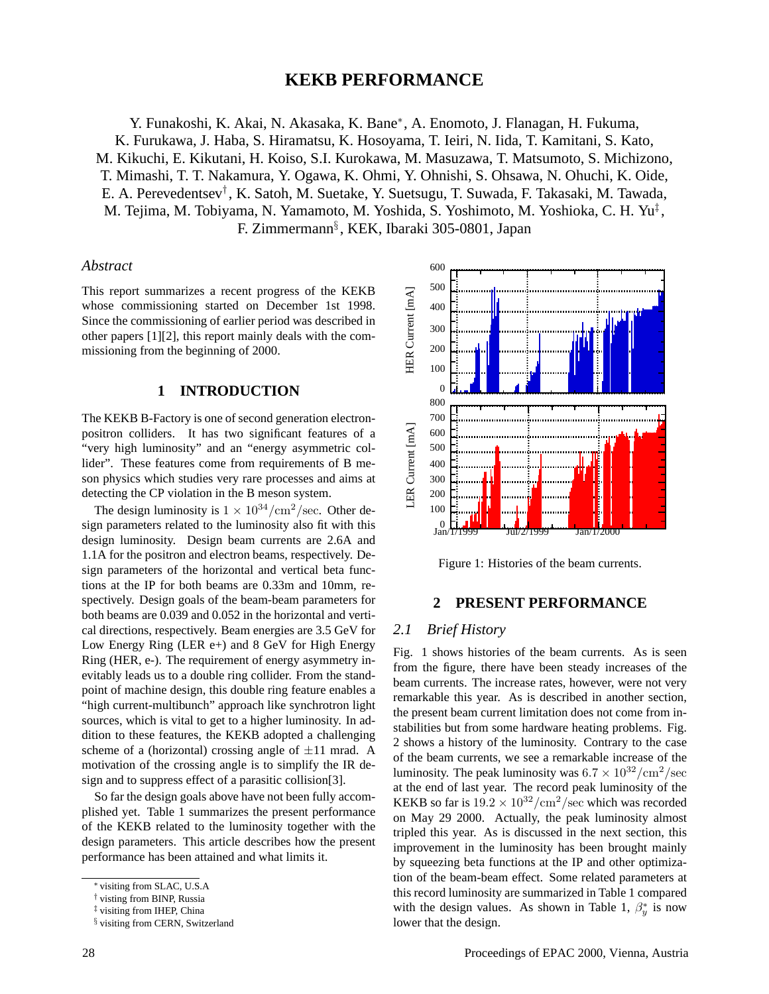# **KEKB PERFORMANCE**

Y. Funakoshi, K. Akai, N. Akasaka, K. Bane∗, A. Enomoto, J. Flanagan, H. Fukuma,

K. Furukawa, J. Haba, S. Hiramatsu, K. Hosoyama, T. Ieiri, N. Iida, T. Kamitani, S. Kato, M. Kikuchi, E. Kikutani, H. Koiso, S.I. Kurokawa, M. Masuzawa, T. Matsumoto, S. Michizono,

T. Mimashi, T. T. Nakamura, Y. Ogawa, K. Ohmi, Y. Ohnishi, S. Ohsawa, N. Ohuchi, K. Oide,

E. A. Perevedentsev† , K. Satoh, M. Suetake, Y. Suetsugu, T. Suwada, F. Takasaki, M. Tawada,

M. Tejima, M. Tobiyama, N. Yamamoto, M. Yoshida, S. Yoshimoto, M. Yoshioka, C. H. Yu‡ , F. Zimmermann§ , KEK, Ibaraki 305-0801, Japan

## *Abstract*

This report summarizes a recent progress of the KEKB whose commissioning started on December 1st 1998. Since the commissioning of earlier period was described in other papers [1][2], this report mainly deals with the commissioning from the beginning of 2000.

## **1 INTRODUCTION**

The KEKB B-Factory is one of second generation electronpositron colliders. It has two significant features of a "very high luminosity" and an "energy asymmetric collider". These features come from requirements of B meson physics which studies very rare processes and aims at detecting the CP violation in the B meson system.

The design luminosity is  $1 \times 10^{34}/\text{cm}^2/\text{sec}$ . Other design parameters related to the luminosity also fit with this design luminosity. Design beam currents are 2.6A and 1.1A for the positron and electron beams, respectively. Design parameters of the horizontal and vertical beta functions at the IP for both beams are 0.33m and 10mm, respectively. Design goals of the beam-beam parameters for both beams are 0.039 and 0.052 in the horizontal and vertical directions, respectively. Beam energies are 3.5 GeV for Low Energy Ring (LER  $e+$ ) and 8 GeV for High Energy Ring (HER, e-). The requirement of energy asymmetry inevitably leads us to a double ring collider. From the standpoint of machine design, this double ring feature enables a "high current-multibunch" approach like synchrotron light sources, which is vital to get to a higher luminosity. In addition to these features, the KEKB adopted a challenging scheme of a (horizontal) crossing angle of  $\pm 11$  mrad. A motivation of the crossing angle is to simplify the IR design and to suppress effect of a parasitic collision[3].

So far the design goals above have not been fully accomplished yet. Table 1 summarizes the present performance of the KEKB related to the luminosity together with the design parameters. This article describes how the present performance has been attained and what limits it.



Figure 1: Histories of the beam currents.

## **2 PRESENT PERFORMANCE**

## *2.1 Brief History*

Fig. 1 shows histories of the beam currents. As is seen from the figure, there have been steady increases of the beam currents. The increase rates, however, were not very remarkable this year. As is described in another section, the present beam current limitation does not come from instabilities but from some hardware heating problems. Fig. 2 shows a history of the luminosity. Contrary to the case of the beam currents, we see a remarkable increase of the luminosity. The peak luminosity was  $6.7 \times 10^{32}/\text{cm}^2/\text{sec}$ at the end of last year. The record peak luminosity of the KEKB so far is  $19.2 \times 10^{32}/\text{cm}^2/\text{sec}$  which was recorded on May 29 2000. Actually, the peak luminosity almost tripled this year. As is discussed in the next section, this improvement in the luminosity has been brought mainly by squeezing beta functions at the IP and other optimization of the beam-beam effect. Some related parameters at this record luminosity are summarized in Table 1 compared with the design values. As shown in Table 1,  $\beta_y^*$  is now lower that the design.

<sup>∗</sup> visiting from SLAC, U.S.A

<sup>†</sup> visting from BINP, Russia

<sup>‡</sup> visiting from IHEP, China

<sup>§</sup> visiting from CERN, Switzerland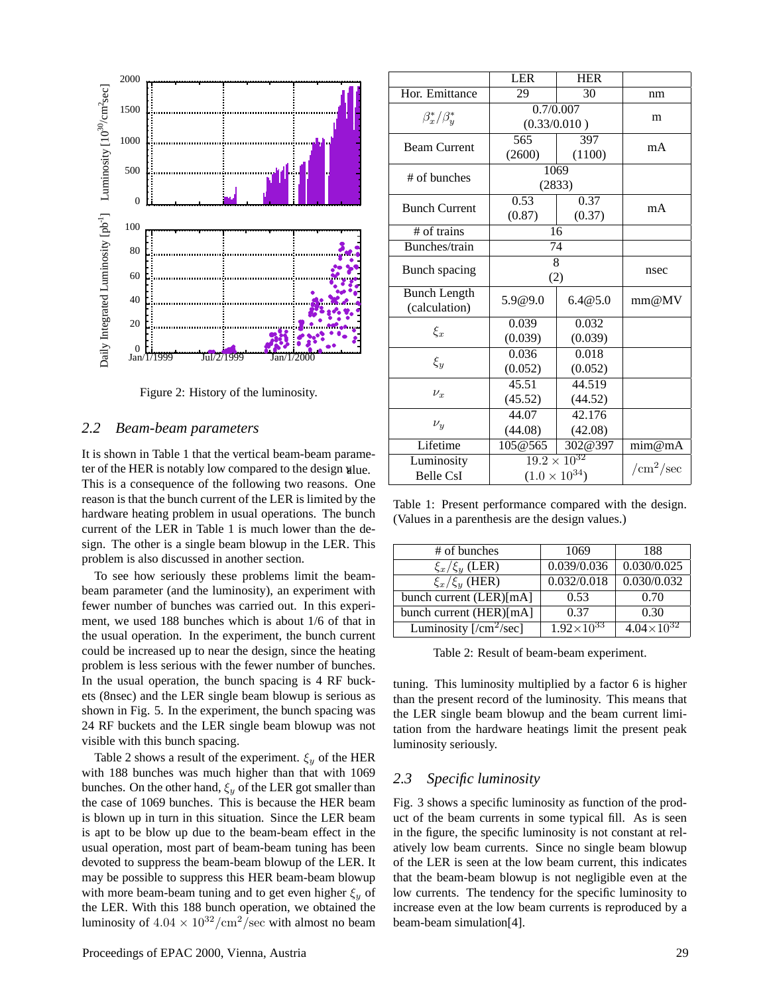

Figure 2: History of the luminosity.

## *2.2 Beam-beam parameters*

It is shown in Table 1 that the vertical beam-beam parameter of the HER is notably low compared to the design value. This is a consequence of the following two reasons. One reason is that the bunch current of the LER is limited by the hardware heating problem in usual operations. The bunch current of the LER in Table 1 is much lower than the design. The other is a single beam blowup in the LER. This problem is also discussed in another section.

To see how seriously these problems limit the beambeam parameter (and the luminosity), an experiment with fewer number of bunches was carried out. In this experiment, we used 188 bunches which is about 1/6 of that in the usual operation. In the experiment, the bunch current could be increased up to near the design, since the heating problem is less serious with the fewer number of bunches. In the usual operation, the bunch spacing is 4 RF buckets (8nsec) and the LER single beam blowup is serious as shown in Fig. 5. In the experiment, the bunch spacing was 24 RF buckets and the LER single beam blowup was not visible with this bunch spacing.

Table 2 shows a result of the experiment.  $\xi_y$  of the HER with 188 bunches was much higher than that with 1069 bunches. On the other hand,  $\xi_y$  of the LER got smaller than the case of 1069 bunches. This is because the HER beam is blown up in turn in this situation. Since the LER beam is apt to be blow up due to the beam-beam effect in the usual operation, most part of beam-beam tuning has been devoted to suppress the beam-beam blowup of the LER. It may be possible to suppress this HER beam-beam blowup with more beam-beam tuning and to get even higher  $\xi_y$  of the LER. With this 188 bunch operation, we obtained the luminosity of  $4.04 \times 10^{32}/\text{cm}^2/\text{sec}$  with almost no beam

|                                      | <b>LER</b>                                      | <b>HER</b>        |                                  |
|--------------------------------------|-------------------------------------------------|-------------------|----------------------------------|
| Hor. Emittance                       | 29                                              | $\overline{30}$   | nm                               |
| $\beta_x^*/\beta_y^*$                | $\overline{0.7}/0.007$<br>(0.33/0.010)          |                   | m                                |
| <b>Beam Current</b>                  | 565<br>(2600)                                   | 397<br>(1100)     | mA                               |
| # of bunches                         | 1069<br>(2833)                                  |                   |                                  |
| <b>Bunch Current</b>                 | 0.53<br>(0.87)                                  | 0.37<br>(0.37)    | mA                               |
| # of trains                          | 16                                              |                   |                                  |
| Bunches/train                        | $\overline{74}$                                 |                   |                                  |
| Bunch spacing                        | 8<br>(2)                                        |                   | nsec                             |
| <b>Bunch Length</b><br>(calculation) | 5.9@9.0                                         | 6.4@5.0           | mm@MV                            |
| $\xi_x$                              | 0.039<br>(0.039)                                | 0.032<br>(0.039)  |                                  |
| $\xi_y$                              | 0.036<br>(0.052)                                | 0.018<br>(0.052)  |                                  |
| $\nu_x$                              | 45.51<br>(45.52)                                | 44.519<br>(44.52) |                                  |
| $\nu_{y}$                            | 44.07<br>(44.08)                                | 42.176<br>(42.08) |                                  |
| Lifetime                             | 105@565                                         | 302@397           | $\overline{\text{mim}\omega}$ mA |
| Luminosity<br><b>Belle CsI</b>       | $19.2 \times 10^{32}$<br>$(1.0 \times 10^{34})$ |                   | /cm <sup>2</sup> /sec            |

Table 1: Present performance compared with the design. (Values in a parenthesis are the design values.)

| # of bunches             | 1069                | 188                   |  |
|--------------------------|---------------------|-----------------------|--|
| $\xi_x/\xi_y$ (LER)      | 0.039/0.036         | 0.030/0.025           |  |
| $\xi_x/\xi_y$ (HER)      | 0.032/0.018         | 0.030/0.032           |  |
| bunch current (LER)[mA]  | 0.53                | 0.70                  |  |
| bunch current (HER)[mA]  | 0.37                | 0.30                  |  |
| Luminosity $[/cm^2/sec]$ | $1.92\times10^{33}$ | $4.04 \times 10^{32}$ |  |

Table 2: Result of beam-beam experiment.

tuning. This luminosity multiplied by a factor 6 is higher than the present record of the luminosity. This means that the LER single beam blowup and the beam current limitation from the hardware heatings limit the present peak luminosity seriously.

# *2.3 Specific luminosity*

Fig. 3 shows a specific luminosity as function of the product of the beam currents in some typical fill. As is seen in the figure, the specific luminosity is not constant at relatively low beam currents. Since no single beam blowup of the LER is seen at the low beam current, this indicates that the beam-beam blowup is not negligible even at the low currents. The tendency for the specific luminosity to increase even at the low beam currents is reproduced by a beam-beam simulation[4].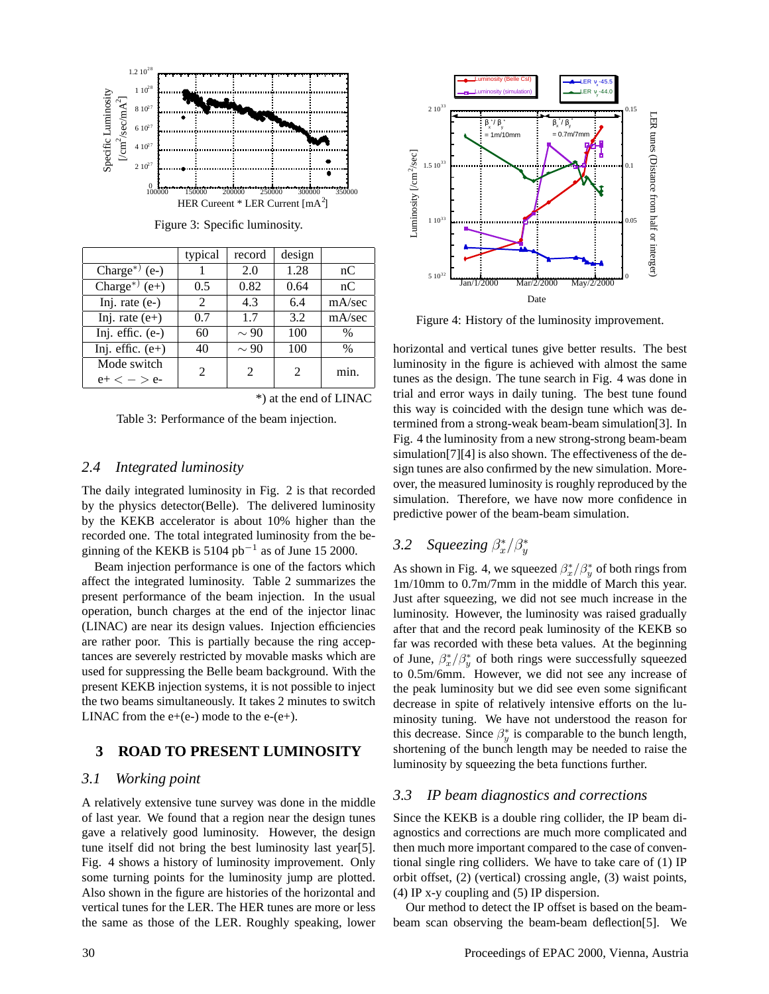

Figure 3: Specific luminosity.

|                            | typical        | record    | design |        |
|----------------------------|----------------|-----------|--------|--------|
| Charge <sup>*</sup> $(e-)$ |                | 2.0       | 1.28   | nC     |
| Charge <sup>*</sup> $(e+)$ | 0.5            | 0.82      | 0.64   | nC     |
| Inj. rate $(e-)$           | $\mathfrak{D}$ | 4.3       | 6.4    | mA/sec |
| Inj. rate $(e+)$           | 0.7            | 1.7       | 3.2    | mA/sec |
| Inj. effic. $(e-)$         | 60             | $\sim 90$ | 100    | $\%$   |
| Inj. effic. $(e+)$         | 40             | $\sim 90$ | 100    | $\%$   |
| Mode switch                | $\mathfrak{D}$ |           |        | min.   |
| $e+ < - > e-$              |                |           |        |        |

\*) at the end of LINAC

Table 3: Performance of the beam injection.

## *2.4 Integrated luminosity*

The daily integrated luminosity in Fig. 2 is that recorded by the physics detector(Belle). The delivered luminosity by the KEKB accelerator is about 10% higher than the recorded one. The total integrated luminosity from the beginning of the KEKB is 5104 pb<sup>-1</sup> as of June 15 2000.

Beam injection performance is one of the factors which affect the integrated luminosity. Table 2 summarizes the present performance of the beam injection. In the usual operation, bunch charges at the end of the injector linac (LINAC) are near its design values. Injection efficiencies are rather poor. This is partially because the ring acceptances are severely restricted by movable masks which are used for suppressing the Belle beam background. With the present KEKB injection systems, it is not possible to inject the two beams simultaneously. It takes 2 minutes to switch LINAC from the  $e+(e-)$  mode to the  $e-(e+)$ .

# **3 ROAD TO PRESENT LUMINOSITY**

# *3.1 Working point*

A relatively extensive tune survey was done in the middle of last year. We found that a region near the design tunes gave a relatively good luminosity. However, the design tune itself did not bring the best luminosity last year[5]. Fig. 4 shows a history of luminosity improvement. Only some turning points for the luminosity jump are plotted. Also shown in the figure are histories of the horizontal and vertical tunes for the LER. The HER tunes are more or less the same as those of the LER. Roughly speaking, lower



Figure 4: History of the luminosity improvement.

horizontal and vertical tunes give better results. The best luminosity in the figure is achieved with almost the same tunes as the design. The tune search in Fig. 4 was done in trial and error ways in daily tuning. The best tune found this way is coincided with the design tune which was determined from a strong-weak beam-beam simulation[3]. In Fig. 4 the luminosity from a new strong-strong beam-beam simulation[7][4] is also shown. The effectiveness of the design tunes are also confirmed by the new simulation. Moreover, the measured luminosity is roughly reproduced by the simulation. Therefore, we have now more confidence in predictive power of the beam-beam simulation.

# 3.2 Squeezing  $\beta_x^*/\beta_y^*$

As shown in Fig. 4, we squeezed  $\beta_x^*/\beta_y^*$  of both rings from 1m/10mm to 0.7m/7mm in the middle of March this year. Just after squeezing, we did not see much increase in the luminosity. However, the luminosity was raised gradually after that and the record peak luminosity of the KEKB so far was recorded with these beta values. At the beginning of June,  $\beta_x^*/\beta_y^*$  of both rings were successfully squeezed to 0.5m/6mm. However, we did not see any increase of the peak luminosity but we did see even some significant decrease in spite of relatively intensive efforts on the luminosity tuning. We have not understood the reason for this decrease. Since  $\beta^*_{y}$  is comparable to the bunch length, shortening of the bunch length may be needed to raise the luminosity by squeezing the beta functions further.

## *3.3 IP beam diagnostics and corrections*

Since the KEKB is a double ring collider, the IP beam diagnostics and corrections are much more complicated and then much more important compared to the case of conventional single ring colliders. We have to take care of (1) IP orbit offset, (2) (vertical) crossing angle, (3) waist points, (4) IP x-y coupling and (5) IP dispersion.

Our method to detect the IP offset is based on the beambeam scan observing the beam-beam deflection[5]. We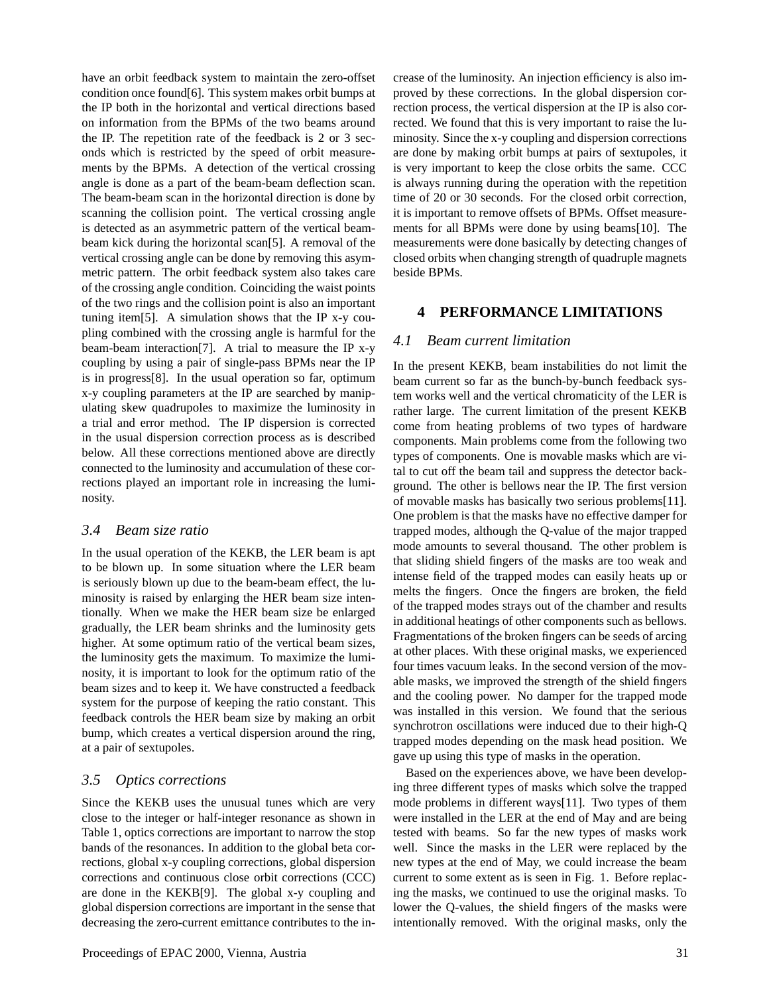have an orbit feedback system to maintain the zero-offset condition once found[6]. This system makes orbit bumps at the IP both in the horizontal and vertical directions based on information from the BPMs of the two beams around the IP. The repetition rate of the feedback is 2 or 3 seconds which is restricted by the speed of orbit measurements by the BPMs. A detection of the vertical crossing angle is done as a part of the beam-beam deflection scan. The beam-beam scan in the horizontal direction is done by scanning the collision point. The vertical crossing angle is detected as an asymmetric pattern of the vertical beambeam kick during the horizontal scan[5]. A removal of the vertical crossing angle can be done by removing this asymmetric pattern. The orbit feedback system also takes care of the crossing angle condition. Coinciding the waist points of the two rings and the collision point is also an important tuning item[5]. A simulation shows that the IP x-y coupling combined with the crossing angle is harmful for the beam-beam interaction[7]. A trial to measure the IP x-y coupling by using a pair of single-pass BPMs near the IP is in progress[8]. In the usual operation so far, optimum x-y coupling parameters at the IP are searched by manipulating skew quadrupoles to maximize the luminosity in a trial and error method. The IP dispersion is corrected in the usual dispersion correction process as is described below. All these corrections mentioned above are directly connected to the luminosity and accumulation of these corrections played an important role in increasing the luminosity.

## *3.4 Beam size ratio*

In the usual operation of the KEKB, the LER beam is apt to be blown up. In some situation where the LER beam is seriously blown up due to the beam-beam effect, the luminosity is raised by enlarging the HER beam size intentionally. When we make the HER beam size be enlarged gradually, the LER beam shrinks and the luminosity gets higher. At some optimum ratio of the vertical beam sizes, the luminosity gets the maximum. To maximize the luminosity, it is important to look for the optimum ratio of the beam sizes and to keep it. We have constructed a feedback system for the purpose of keeping the ratio constant. This feedback controls the HER beam size by making an orbit bump, which creates a vertical dispersion around the ring, at a pair of sextupoles.

# *3.5 Optics corrections*

Since the KEKB uses the unusual tunes which are very close to the integer or half-integer resonance as shown in Table 1, optics corrections are important to narrow the stop bands of the resonances. In addition to the global beta corrections, global x-y coupling corrections, global dispersion corrections and continuous close orbit corrections (CCC) are done in the KEKB[9]. The global x-y coupling and global dispersion corrections are important in the sense that decreasing the zero-current emittance contributes to the increase of the luminosity. An injection efficiency is also improved by these corrections. In the global dispersion correction process, the vertical dispersion at the IP is also corrected. We found that this is very important to raise the luminosity. Since the x-y coupling and dispersion corrections are done by making orbit bumps at pairs of sextupoles, it is very important to keep the close orbits the same. CCC is always running during the operation with the repetition time of 20 or 30 seconds. For the closed orbit correction, it is important to remove offsets of BPMs. Offset measurements for all BPMs were done by using beams[10]. The measurements were done basically by detecting changes of closed orbits when changing strength of quadruple magnets beside BPMs.

## **4 PERFORMANCE LIMITATIONS**

## *4.1 Beam current limitation*

In the present KEKB, beam instabilities do not limit the beam current so far as the bunch-by-bunch feedback system works well and the vertical chromaticity of the LER is rather large. The current limitation of the present KEKB come from heating problems of two types of hardware components. Main problems come from the following two types of components. One is movable masks which are vital to cut off the beam tail and suppress the detector background. The other is bellows near the IP. The first version of movable masks has basically two serious problems[11]. One problem is that the masks have no effective damper for trapped modes, although the Q-value of the major trapped mode amounts to several thousand. The other problem is that sliding shield fingers of the masks are too weak and intense field of the trapped modes can easily heats up or melts the fingers. Once the fingers are broken, the field of the trapped modes strays out of the chamber and results in additional heatings of other components such as bellows. Fragmentations of the broken fingers can be seeds of arcing at other places. With these original masks, we experienced four times vacuum leaks. In the second version of the movable masks, we improved the strength of the shield fingers and the cooling power. No damper for the trapped mode was installed in this version. We found that the serious synchrotron oscillations were induced due to their high-Q trapped modes depending on the mask head position. We gave up using this type of masks in the operation.

Based on the experiences above, we have been developing three different types of masks which solve the trapped mode problems in different ways[11]. Two types of them were installed in the LER at the end of May and are being tested with beams. So far the new types of masks work well. Since the masks in the LER were replaced by the new types at the end of May, we could increase the beam current to some extent as is seen in Fig. 1. Before replacing the masks, we continued to use the original masks. To lower the Q-values, the shield fingers of the masks were intentionally removed. With the original masks, only the